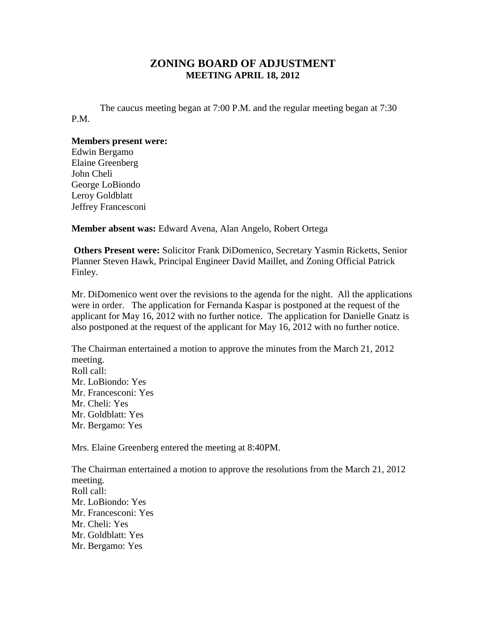## **ZONING BOARD OF ADJUSTMENT MEETING APRIL 18, 2012**

The caucus meeting began at 7:00 P.M. and the regular meeting began at 7:30 P.M.

## **Members present were:**

Edwin Bergamo Elaine Greenberg John Cheli George LoBiondo Leroy Goldblatt Jeffrey Francesconi

**Member absent was:** Edward Avena, Alan Angelo, Robert Ortega

**Others Present were:** Solicitor Frank DiDomenico, Secretary Yasmin Ricketts, Senior Planner Steven Hawk, Principal Engineer David Maillet, and Zoning Official Patrick Finley.

Mr. DiDomenico went over the revisions to the agenda for the night. All the applications were in order. The application for Fernanda Kaspar is postponed at the request of the applicant for May 16, 2012 with no further notice. The application for Danielle Gnatz is also postponed at the request of the applicant for May 16, 2012 with no further notice.

The Chairman entertained a motion to approve the minutes from the March 21, 2012 meeting. Roll call: Mr. LoBiondo: Yes Mr. Francesconi: Yes Mr. Cheli: Yes Mr. Goldblatt: Yes Mr. Bergamo: Yes

Mrs. Elaine Greenberg entered the meeting at 8:40PM.

The Chairman entertained a motion to approve the resolutions from the March 21, 2012 meeting. Roll call: Mr. LoBiondo: Yes Mr. Francesconi: Yes Mr. Cheli: Yes Mr. Goldblatt: Yes Mr. Bergamo: Yes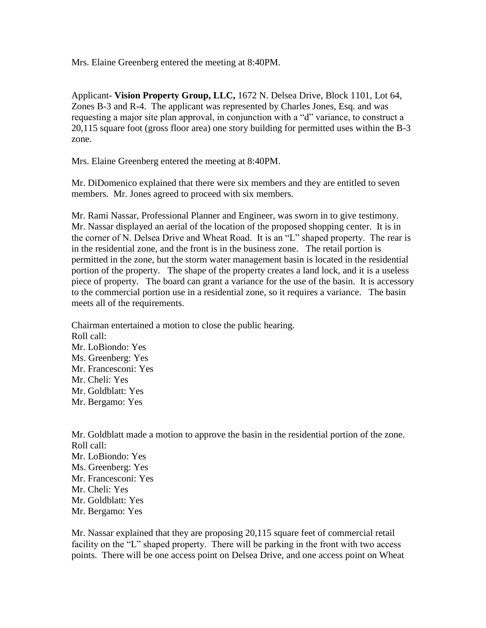Mrs. Elaine Greenberg entered the meeting at 8:40PM.

Applicant- **Vision Property Group, LLC,** 1672 N. Delsea Drive, Block 1101, Lot 64, Zones B-3 and R-4. The applicant was represented by Charles Jones, Esq. and was requesting a major site plan approval, in conjunction with a "d" variance, to construct a 20,115 square foot (gross floor area) one story building for permitted uses within the B-3 zone.

Mrs. Elaine Greenberg entered the meeting at 8:40PM.

Mr. DiDomenico explained that there were six members and they are entitled to seven members. Mr. Jones agreed to proceed with six members.

Mr. Rami Nassar, Professional Planner and Engineer, was sworn in to give testimony. Mr. Nassar displayed an aerial of the location of the proposed shopping center. It is in the corner of N. Delsea Drive and Wheat Road. It is an "L" shaped property. The rear is in the residential zone, and the front is in the business zone. The retail portion is permitted in the zone, but the storm water management basin is located in the residential portion of the property. The shape of the property creates a land lock, and it is a useless piece of property. The board can grant a variance for the use of the basin. It is accessory to the commercial portion use in a residential zone, so it requires a variance. The basin meets all of the requirements.

Chairman entertained a motion to close the public hearing. Roll call: Mr. LoBiondo: Yes Ms. Greenberg: Yes Mr. Francesconi: Yes Mr. Cheli: Yes Mr. Goldblatt: Yes Mr. Bergamo: Yes

Mr. Goldblatt made a motion to approve the basin in the residential portion of the zone. Roll call: Mr. LoBiondo: Yes Ms. Greenberg: Yes Mr. Francesconi: Yes Mr. Cheli: Yes Mr. Goldblatt: Yes Mr. Bergamo: Yes

Mr. Nassar explained that they are proposing 20,115 square feet of commercial retail facility on the "L" shaped property. There will be parking in the front with two access points. There will be one access point on Delsea Drive, and one access point on Wheat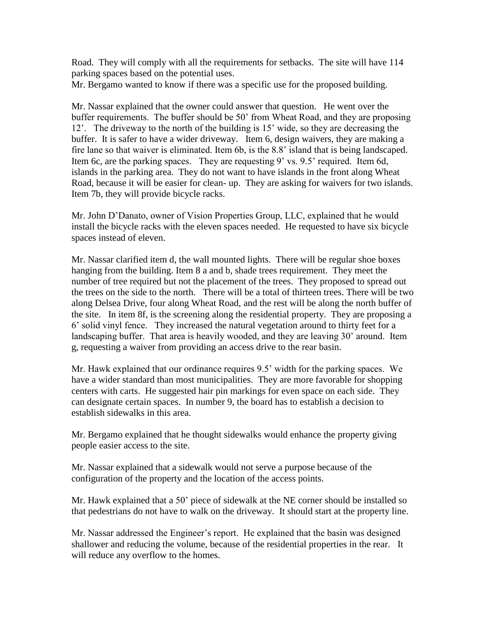Road. They will comply with all the requirements for setbacks. The site will have 114 parking spaces based on the potential uses.

Mr. Bergamo wanted to know if there was a specific use for the proposed building.

Mr. Nassar explained that the owner could answer that question. He went over the buffer requirements. The buffer should be 50' from Wheat Road, and they are proposing 12'. The driveway to the north of the building is 15' wide, so they are decreasing the buffer. It is safer to have a wider driveway. Item 6, design waivers, they are making a fire lane so that waiver is eliminated. Item 6b, is the 8.8' island that is being landscaped. Item 6c, are the parking spaces. They are requesting 9' vs. 9.5' required. Item 6d, islands in the parking area. They do not want to have islands in the front along Wheat Road, because it will be easier for clean- up. They are asking for waivers for two islands. Item 7b, they will provide bicycle racks.

Mr. John D'Danato, owner of Vision Properties Group, LLC, explained that he would install the bicycle racks with the eleven spaces needed. He requested to have six bicycle spaces instead of eleven.

Mr. Nassar clarified item d, the wall mounted lights. There will be regular shoe boxes hanging from the building. Item 8 a and b, shade trees requirement. They meet the number of tree required but not the placement of the trees. They proposed to spread out the trees on the side to the north. There will be a total of thirteen trees. There will be two along Delsea Drive, four along Wheat Road, and the rest will be along the north buffer of the site. In item 8f, is the screening along the residential property. They are proposing a 6' solid vinyl fence. They increased the natural vegetation around to thirty feet for a landscaping buffer. That area is heavily wooded, and they are leaving 30' around. Item g, requesting a waiver from providing an access drive to the rear basin.

Mr. Hawk explained that our ordinance requires 9.5' width for the parking spaces. We have a wider standard than most municipalities. They are more favorable for shopping centers with carts. He suggested hair pin markings for even space on each side. They can designate certain spaces. In number 9, the board has to establish a decision to establish sidewalks in this area.

Mr. Bergamo explained that he thought sidewalks would enhance the property giving people easier access to the site.

Mr. Nassar explained that a sidewalk would not serve a purpose because of the configuration of the property and the location of the access points.

Mr. Hawk explained that a 50' piece of sidewalk at the NE corner should be installed so that pedestrians do not have to walk on the driveway. It should start at the property line.

Mr. Nassar addressed the Engineer's report. He explained that the basin was designed shallower and reducing the volume, because of the residential properties in the rear. It will reduce any overflow to the homes.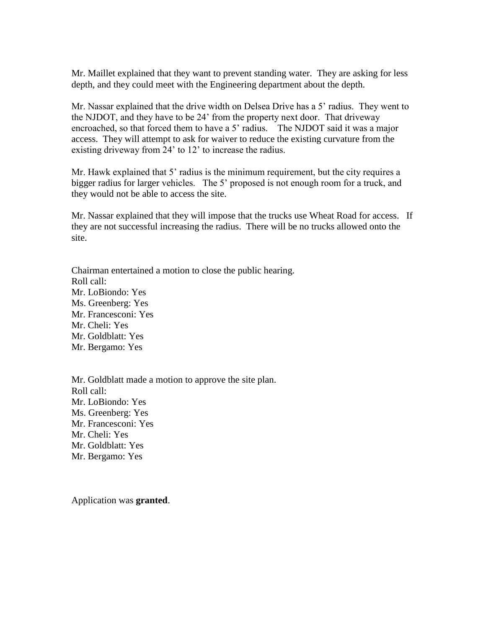Mr. Maillet explained that they want to prevent standing water. They are asking for less depth, and they could meet with the Engineering department about the depth.

Mr. Nassar explained that the drive width on Delsea Drive has a 5' radius. They went to the NJDOT, and they have to be 24' from the property next door. That driveway encroached, so that forced them to have a 5' radius. The NJDOT said it was a major access. They will attempt to ask for waiver to reduce the existing curvature from the existing driveway from 24' to 12' to increase the radius.

Mr. Hawk explained that 5' radius is the minimum requirement, but the city requires a bigger radius for larger vehicles. The 5' proposed is not enough room for a truck, and they would not be able to access the site.

Mr. Nassar explained that they will impose that the trucks use Wheat Road for access. If they are not successful increasing the radius. There will be no trucks allowed onto the site.

Chairman entertained a motion to close the public hearing. Roll call: Mr. LoBiondo: Yes Ms. Greenberg: Yes Mr. Francesconi: Yes Mr. Cheli: Yes Mr. Goldblatt: Yes Mr. Bergamo: Yes

Mr. Goldblatt made a motion to approve the site plan. Roll call: Mr. LoBiondo: Yes Ms. Greenberg: Yes Mr. Francesconi: Yes Mr. Cheli: Yes Mr. Goldblatt: Yes Mr. Bergamo: Yes

Application was **granted**.